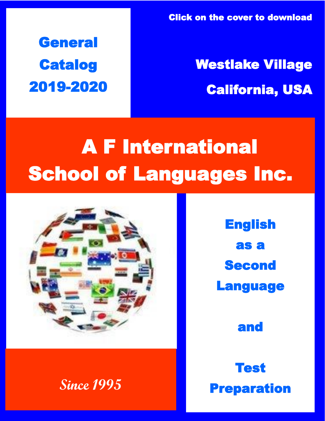**General Catalog** 2019-2020 Click on the cover to download

## Westlake Village California, USA

# A F International School of Languages Inc.



**Since 1995** 

English as a **Second** Language

and

Test Preparation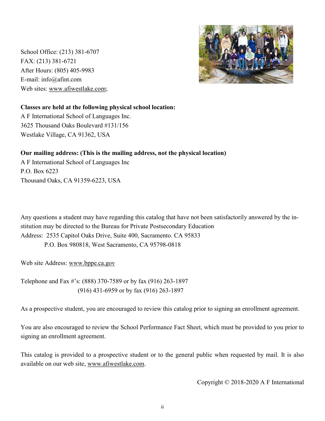School Office: (213) 381-6707 FAX: (213) 381-6721 After Hours: (805) 405-9983 E-mail: info@afint.com Web sites: www.afiwestlake.com;



## **Classes are held at the following physical school location:**

A F International School of Languages Inc. 3625 Thousand Oaks Boulevard #131/156 Westlake Village, CA 91362, USA

## **Our mailing address: (This is the mailing address, not the physical location)**

A F International School of Languages Inc P.O. Box 6223 Thousand Oaks, CA 91359-6223, USA

Any questions a student may have regarding this catalog that have not been satisfactorily answered by the institution may be directed to the Bureau for Private Postsecondary Education Address: 2535 Capitol Oaks Drive, Suite 400, Sacramento. CA 95833 P.O. Box 980818, West Sacramento, CA 95798-0818

Web site Address: www.bppe.ca.gov

Telephone and Fax #'s: (888) 370-7589 or by fax (916) 263-1897 (916) 431-6959 or by fax (916) 263-1897

As a prospective student, you are encouraged to review this catalog prior to signing an enrollment agreement.

You are also encouraged to review the School Performance Fact Sheet, which must be provided to you prior to signing an enrollment agreement.

This catalog is provided to a prospective student or to the general public when requested by mail. It is also available on our web site, www.afiwestlake.com.

Copyright © 2018-2020 A F International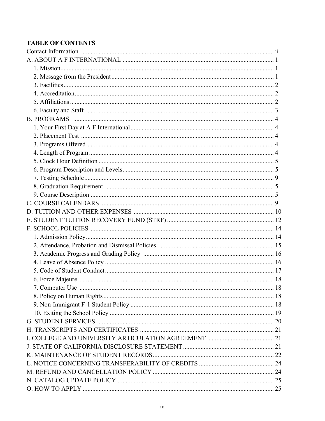## **TABLE OF CONTENTS**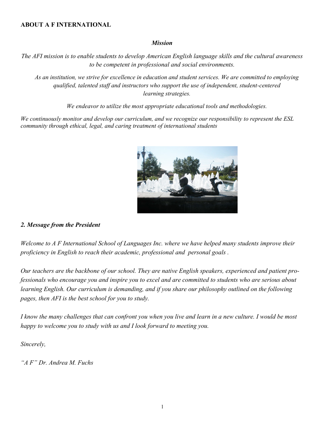#### **ABOUT A F INTERNATIONAL**

#### *Mission*

*The AFI mission is to enable students to develop American English language skills and the cultural awareness to be competent in professional and social environments.*

*As an institution, we strive for excellence in education and student services. We are committed to employing qualified, talented staff and instructors who support the use of independent, student-centered learning strategies.*

*We endeavor to utilize the most appropriate educational tools and methodologies.*

*We continuously monitor and develop our curriculum, and we recognize our responsibility to represent the ESL community through ethical, legal, and caring treatment of international students*



#### *2. Message from the President*

*Welcome to A F International School of Languages Inc. where we have helped many students improve their proficiency in English to reach their academic, professional and personal goals .*

*Our teachers are the backbone of our school. They are native English speakers, experienced and patient professionals who encourage you and inspire you to excel and are committed to students who are serious about learning English. Our curriculum is demanding, and if you share our philosophy outlined on the following pages, then AFI is the best school for you to study.* 

*I know the many challenges that can confront you when you live and learn in a new culture. I would be most happy to welcome you to study with us and I look forward to meeting you.*

*Sincerely,*

*"A F" Dr. Andrea M. Fuchs*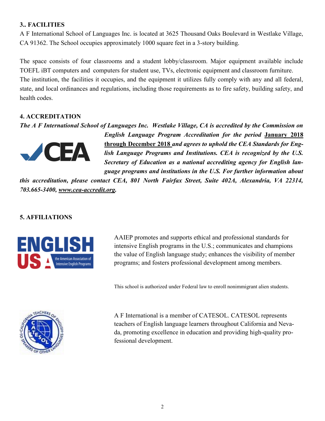## **3.. FACILITIES**

A F International School of Languages Inc. is located at 3625 Thousand Oaks Boulevard in Westlake Village, CA 91362. The School occupies approximately 1000 square feet in a 3-story building.

The space consists of four classrooms and a student lobby/classroom. Major equipment available include TOEFL iBT computers and computers for student use, TVs, electronic equipment and classroom furniture. The institution, the facilities it occupies, and the equipment it utilizes fully comply with any and all federal, state, and local ordinances and regulations, including those requirements as to fire safety, building safety, and health codes.

## **4. ACCREDITATION**

*The A F International School of Languages Inc. Westlake Village, CA is accredited by the Commission on* 



*English Language Program Accreditation for the period* **January 2018 through December 2018** *and agrees to uphold the CEA Standards for English Language Programs and Institutions. CEA is recognized by the U.S. Secretary of Education as a national accrediting agency for English language programs and institutions in the U.S. For further information about* 

*this accreditation, please contact CEA, 801 North Fairfax Street, Suite 402A, Alexandria, VA 22314, 703.665-3400, www.cea-accredit.org.*

## **5. AFFILIATIONS**



AAIEP promotes and supports ethical and professional standards for intensive English programs in the U.S.; communicates and champions the value of English language study; enhances the visibility of member programs; and fosters professional development among members.

This school is authorized under Federal law to enroll nonimmigrant alien students.



A F International is a member of CATESOL. CATESOL represents teachers of English language learners throughout California and Nevada, promoting excellence in education and providing high-quality professional development.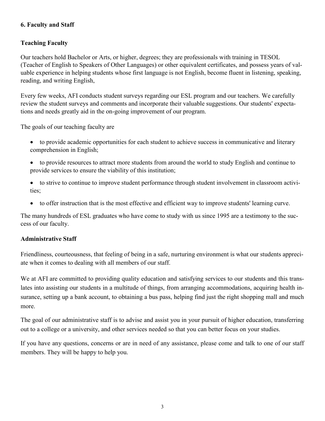## **6. Faculty and Staff**

## **Teaching Faculty**

Our teachers hold Bachelor or Arts, or higher, degrees; they are professionals with training in TESOL (Teacher of English to Speakers of Other Languages) or other equivalent certificates, and possess years of valuable experience in helping students whose first language is not English, become fluent in listening, speaking, reading, and writing English,

Every few weeks, AFI conducts student surveys regarding our ESL program and our teachers. We carefully review the student surveys and comments and incorporate their valuable suggestions. Our students' expectations and needs greatly aid in the on-going improvement of our program.

The goals of our teaching faculty are

- to provide academic opportunities for each student to achieve success in communicative and literary comprehension in English;
- to provide resources to attract more students from around the world to study English and continue to provide services to ensure the viability of this institution;
- to strive to continue to improve student performance through student involvement in classroom activities;
- to offer instruction that is the most effective and efficient way to improve students' learning curve.

The many hundreds of ESL graduates who have come to study with us since 1995 are a testimony to the success of our faculty.

## **Administrative Staff**

Friendliness, courteousness, that feeling of being in a safe, nurturing environment is what our students appreciate when it comes to dealing with all members of our staff.

We at AFI are committed to providing quality education and satisfying services to our students and this translates into assisting our students in a multitude of things, from arranging accommodations, acquiring health insurance, setting up a bank account, to obtaining a bus pass, helping find just the right shopping mall and much more.

The goal of our administrative staff is to advise and assist you in your pursuit of higher education, transferring out to a college or a university, and other services needed so that you can better focus on your studies.

If you have any questions, concerns or are in need of any assistance, please come and talk to one of our staff members. They will be happy to help you.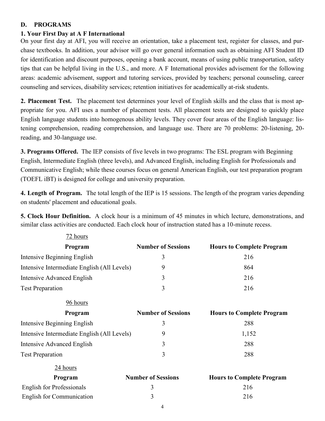## **D. PROGRAMS**

## **1. Your First Day at A F International**

On your first day at AFI, you will receive an orientation, take a placement test, register for classes, and purchase textbooks. In addition, your advisor will go over general information such as obtaining AFI Student ID for identification and discount purposes, opening a bank account, means of using public transportation, safety tips that can be helpful living in the U.S., and more. A F International provides advisement for the following areas: academic advisement, support and tutoring services, provided by teachers; personal counseling, career counseling and services, disability services; retention initiatives for academically at-risk students.

**2. Placement Test.** The placement test determines your level of English skills and the class that is most appropriate for you. AFI uses a number of placement tests. All placement tests are designed to quickly place English language students into homogenous ability levels. They cover four areas of the English language: listening comprehension, reading comprehension, and language use. There are 70 problems: 20-listening, 20 reading, and 30-language use.

**3. Programs Offered.** The IEP consists of five levels in two programs: The ESL program with Beginning English, Intermediate English (three levels), and Advanced English, including English for Professionals and Communicative English; while these courses focus on general American English, our test preparation program (TOEFL iBT) is designed for college and university preparation.

**4. Length of Program.** The total length of the IEP is 15 sessions. The length of the program varies depending on students' placement and educational goals.

**5. Clock Hour Definition.** A clock hour is a minimum of 45 minutes in which lecture, demonstrations, and similar class activities are conducted. Each clock hour of instruction stated has a 10-minute recess.

| 72 hours                                    |                           |                                  |
|---------------------------------------------|---------------------------|----------------------------------|
| Program                                     | <b>Number of Sessions</b> | <b>Hours to Complete Program</b> |
| Intensive Beginning English                 | 3                         | 216                              |
| Intensive Intermediate English (All Levels) | 9                         | 864                              |
| Intensive Advanced English                  | 3                         | 216                              |
| <b>Test Preparation</b>                     | 3                         | 216                              |
| 96 hours                                    |                           |                                  |
| Program                                     | <b>Number of Sessions</b> | <b>Hours to Complete Program</b> |
| Intensive Beginning English                 | 3                         | 288                              |
| Intensive Intermediate English (All Levels) | 9                         | 1,152                            |
| Intensive Advanced English                  | 3                         | 288                              |
| <b>Test Preparation</b>                     | $\overline{3}$            | 288                              |
| 24 hours                                    |                           |                                  |
| Program                                     | <b>Number of Sessions</b> | <b>Hours to Complete Program</b> |
| <b>English for Professionals</b>            | 3                         | 216                              |
| English for Communication                   | 3                         | 216                              |
|                                             | 4                         |                                  |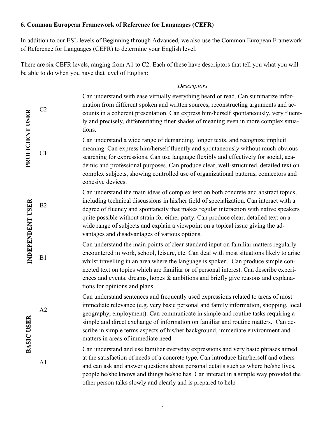## **6. Common European Framework of Reference for Languages (CEFR)**

In addition to our ESL levels of Beginning through Advanced, we also use the Common European Framework of Reference for Languages (CEFR) to determine your English level.

There are six CEFR levels, ranging from A1 to C2. Each of these have descriptors that tell you what you will be able to do when you have that level of English:

## *Descriptors*

|                        | C <sub>2</sub> | Can understand with ease virtually everything heard or read. Can summarize infor-<br>mation from different spoken and written sources, reconstructing arguments and ac-<br>counts in a coherent presentation. Can express him/herself spontaneously, very fluent-<br>ly and precisely, differentiating finer shades of meaning even in more complex situa-<br>tions.                                                                                                                                   |
|------------------------|----------------|--------------------------------------------------------------------------------------------------------------------------------------------------------------------------------------------------------------------------------------------------------------------------------------------------------------------------------------------------------------------------------------------------------------------------------------------------------------------------------------------------------|
| <b>PROFICIENT USER</b> | C1             | Can understand a wide range of demanding, longer texts, and recognize implicit<br>meaning. Can express him/herself fluently and spontaneously without much obvious<br>searching for expressions. Can use language flexibly and effectively for social, aca-<br>demic and professional purposes. Can produce clear, well-structured, detailed text on<br>complex subjects, showing controlled use of organizational patterns, connectors and<br>cohesive devices.                                       |
| NDEPENDENT USER        | B2             | Can understand the main ideas of complex text on both concrete and abstract topics,<br>including technical discussions in his/her field of specialization. Can interact with a<br>degree of fluency and spontaneity that makes regular interaction with native speakers<br>quite possible without strain for either party. Can produce clear, detailed text on a<br>wide range of subjects and explain a viewpoint on a topical issue giving the ad-<br>vantages and disadvantages of various options. |
|                        | B1             | Can understand the main points of clear standard input on familiar matters regularly<br>encountered in work, school, leisure, etc. Can deal with most situations likely to arise<br>whilst travelling in an area where the language is spoken. Can produce simple con-<br>nected text on topics which are familiar or of personal interest. Can describe experi-<br>ences and events, dreams, hopes & ambitions and briefly give reasons and explana-<br>tions for opinions and plans.                 |
| <b>ISER</b>            | A2             | Can understand sentences and frequently used expressions related to areas of most<br>immediate relevance (e.g. very basic personal and family information, shopping, local<br>geography, employment). Can communicate in simple and routine tasks requiring a<br>simple and direct exchange of information on familiar and routine matters. Can de-<br>scribe in simple terms aspects of his/her background, immediate environment and<br>matters in areas of immediate need.                          |
| <b>BASIC</b>           | A1             | Can understand and use familiar everyday expressions and very basic phrases aimed<br>at the satisfaction of needs of a concrete type. Can introduce him/herself and others<br>and can ask and answer questions about personal details such as where he/she lives,<br>people he/she knows and things he/she has. Can interact in a simple way provided the<br>other person talks slowly and clearly and is prepared to help                                                                             |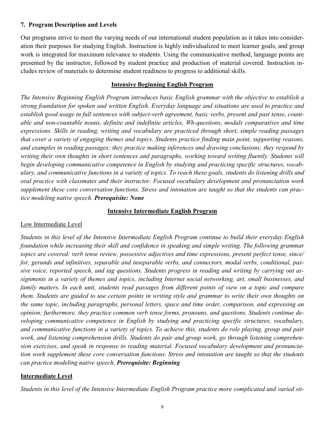## **7. Program Description and Levels**

Our programs strive to meet the varying needs of our international student population as it takes into consideration their purposes for studying English. Instruction is highly individualized to meet learner goals, and group work is integrated for maximum relevance to students. Using the communicative method, language points are presented by the instructor, followed by student practice and production of material covered. Instruction includes review of materials to determine student readiness to progress to additional skills.

## **Intensive Beginning English Program**

*The Intensive Beginning English Program introduces basic English grammar with the objective to establish a strong foundation for spoken and written English. Everyday language and situations are used to practice and establish good usage in full sentences with subject-verb agreement, basic verbs, present and past tense, count*able and non-countable nouns, definite and indefinite articles, Wh-questions, modals comparatives and time *expressions. Skills in reading, writing and vocabulary are practiced through short, simple reading passages that cover a variety of engaging themes and topics. Students practice finding main point, supporting reasons, and examples in reading passages; they practice making inferences and drawing conclusions; they respond by writing their own thoughts in short sentences and paragraphs, working toward writing fluently. Students will begin developing communicative competence in English by studying and practicing specific structures, vocab*ulary, and communicative functions in a variety of topics. To reach these goals, students do listening drills and *oral practice with classmates and their instructor. Focused vocabulary development and pronunciation work supplement these core conversation functions. Stress and intonation are taught so that the students can practice modeling native speech. Prerequisite: None*

#### **Intensive Intermediate English Program**

## Low Intermediate Level

*Students in this level of the Intensive Intermediate English Program continue to build their everyday English foundation while increasing their skill and confidence in speaking and simple writing. The following grammar topics are covered: verb tense review, possessive adjectives and time expressions, present perfect tense, since/ for, gerunds and infinitives, separable and inseparable verbs, and connectors, modal verbs, conditional, passive voice, reported speech, and tag questions. Students progress in reading and writing by carrying out assignments in a variety of themes and topics, including Internet social networking, art, small businesses, and family matters. In each unit, students read passages from different points of view on a topic and compare them. Students are guided to use certain points in writing style and grammar to write their own thoughts on the same topic, including paragraphs, personal letters, space and time order, comparison, and expressing an opinion; furthermore, they practice common verb tense forms, pronouns, and questions. Students continue developing communicative competence in English by studying and practicing specific structures, vocabulary, and communicative functions in a variety of topics. To achieve this, students do role playing, group and pair work, and listening comprehension drills. Students do pair and group work, go through listening comprehension exercises, and speak in response to reading material. Focused vocabulary development and pronunciation work supplement these core conversation functions. Stress and intonation are taught so that the students can practice modeling native speech. Prerequisite: Beginning*

## **Intermediate Level**

*Students in this level of the Intensive Intermediate English Program practice more complicated and varied sit-*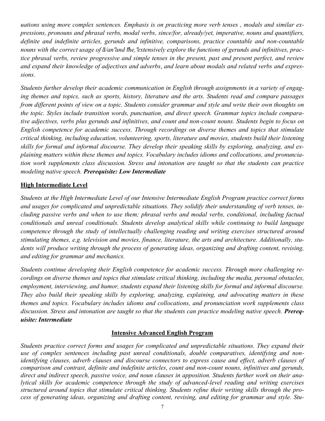*uations using more complex sentences. Emphasis is on practicing more verb tenses , modals and similar expressions, pronouns and phrasal verbs, modal verbs, since/for, already/yet, imperative, nouns and quantifiers, definite and indefinite articles, gerunds and infinitive, comparisons, practice countable and non-countable*  nouns with the correct usage of  $d/an'$  and the, "extensively explore the functions of gerunds and infinitives, prac*tice phrasal verbs, review progressive and simple tenses in the present, past and present perfect, and review and expand their knowledge of adjectives and adverbs*, *and learn about modals and related verbs and expressions.* 

*Students further develop their academic communication in English through assignments in a variety of engaging themes and topics, such as sports, history, literature and the arts. Students read and compare passages from different points of view on a topic. Students consider grammar and style and write their own thoughts on the topic. Styles include transition words, punctuation, and direct speech. Grammar topics include comparative adjectives, verbs plus gerunds and infinitives, and count and non-count nouns. Students begin to focus on English competence for academic success. Through recordings on diverse themes and topics that stimulate critical thinking, including education, volunteering, sports, literature and movies, students build their listening skills for formal and informal discourse. They develop their speaking skills by exploring, analyzing, and explaining matters within these themes and topics. Vocabulary includes idioms and collocations, and pronunciation work supplements class discussion. Stress and intonation are taught so that the students can practice modeling native speech. Prerequisite: Low Intermediate*

## **High Intermediate Level**

*Students at the High Intermediate Level of our Intensive Intermediate English Program practice correct forms and usages for complicated and unpredictable situations. They solidify their understanding of verb tenses, including passive verbs and when to use them; phrasal verbs and modal verbs, conditional, including factual conditionals and unreal conditionals. Students develop analytical skills while continuing to build language competence through the study of intellectually challenging reading and writing exercises structured around stimulating themes, e.g. television and movies, finance, literature, the arts and architecture. Additionally, students will produce writing through the process of generating ideas, organizing and drafting content, revising, and editing for grammar and mechanics.* 

*Students continue developing their English competence for academic success. Through more challenging recordings on diverse themes and topics that stimulate critical thinking, including the media, personal obstacles,*  employment, interviewing, and humor, students expand their listening skills for formal and informal discourse. *They also build their speaking skills by exploring, analyzing, explaining, and advocating matters in these themes and topics. Vocabulary includes idioms and collocations, and pronunciation work supplements class*  discussion. Stress and intonation are taught so that the students can practice modeling native speech. **Prereq***uisite: Intermediate*

#### **Intensive Advanced English Program**

*Students practice correct forms and usages for complicated and unpredictable situations. They expand their use of complex sentences including past unreal conditionals, double comparatives, identifying and nonidentifying clauses, adverb clauses and discourse connectors to express cause and effect, adverb clauses of comparison and contrast, definite and indefinite articles, count and non-count nouns, infinitives and gerunds, direct and indirect speech, passive voice, and noun clauses in apposition. Students further work on their analytical skills for academic competence through the study of advanced-level reading and writing exercises structured around topics that stimulate critical thinking. Students refine their writing skills through the process of generating ideas, organizing and drafting content, revising, and editing for grammar and style. Stu-*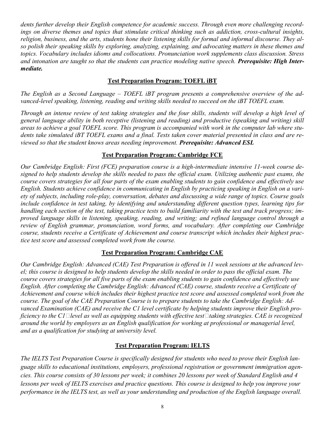*dents further develop their English competence for academic success. Through even more challenging recordings on diverse themes and topics that stimulate critical thinking such as addiction, cross-cultural insights, religion, business, and the arts, students hone their listening skills for formal and informal discourse. They also polish their speaking skills by exploring, analyzing, explaining, and advocating matters in these themes and topics. Vocabulary includes idioms and collocations. Pronunciation work supplements class discussion. Stress and intonation are taught so that the students can practice modeling native speech. Prerequisite: High Intermediate.*

## **Test Preparation Program: TOEFL iBT**

*The English as a Second Language – TOEFL iBT program presents a comprehensive overview of the advanced-level speaking, listening, reading and writing skills needed to succeed on the iBT TOEFL exam.*

*Through an intense review of test taking strategies and the four skills, students will develop a high level of general language ability in both receptive (listening and reading) and productive (speaking and writing) skill areas to achieve a goal TOEFL score. This program is accompanied with work in the computer lab where students take simulated iBT TOEFL exams and a final. Tests taken cover material presented in class and are reviewed so that the student knows areas needing improvement. Prerequisite: Advanced ESL* 

## **Test Preparation Program: Cambridge FCE**

*Our Cambridge English: First (FCE) preparation course is a high-intermediate intensive 11-week course designed to help students develop the skills needed to pass the official exam. Utilizing authentic past exams, the course covers strategies for all four parts of the exam enabling students to gain confidence and effectively use English. Students achieve confidence in communicating in English by practicing speaking in English on a variety of subjects, including role-play, conversation, debates and discussing a wide range of topics. Course goals include confidence in test taking, by identifying and understanding different question types, learning tips for handling each section of the test, taking practice tests to build familiarity with the test and track progress; improved language skills in listening, speaking, reading, and writing; and refined language control through a review of English grammar, pronunciation, word forms, and vocabulary. After completing our Cambridge course, students receive a Certificate of Achievement and course transcript which includes their highest practice test score and assessed completed work from the course.*

## **Test Preparation Program: Cambridge CAE**

*Our Cambridge English: Advanced (CAE) Test Preparation is offered in 11 week sessions at the advanced level; this course is designed to help students develop the skills needed in order to pass the official exam. The course covers strategies for all five parts of the exam enabling students to gain confidence and effectively use English. After completing the Cambridge English: Advanced (CAE) course, students receive a Certificate of Achievement and course which includes their highest practice test score and assessed completed work from the course. The goal of the CAE Preparation Course is to prepare students to take the Cambridge English: Advanced Examination (CAE) and receive the C1 level certificate by helping students improve their English proficiency to the C1* $\Box$ *level as well as equipping students with effective test* $\Box$ *taking strategies. CAE is recognized around the world by employers as an English qualification for working at professional or managerial level, and as a qualification for studying at university level.*

## **Test Preparation Program: IELTS**

*The IELTS Test Preparation Course is specifically designed for students who need to prove their English language skills to educational institutions, employers, professional registration or government immigration agencies. This course consists of 30 lessons per week; it combines 20 lessons per week of Standard English and 4 lessons per week of IELTS exercises and practice questions. This course is designed to help you improve your performance in the IELTS test, as well as your understanding and production of the English language overall.*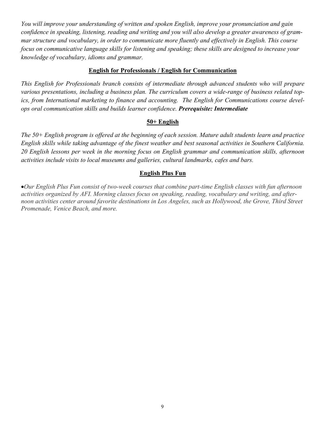*You will improve your understanding of written and spoken English, improve your pronunciation and gain confidence in speaking, listening, reading and writing and you will also develop a greater awareness of grammar structure and vocabulary, in order to communicate more fluently and effectively in English. This course focus on communicative language skills for listening and speaking; these skills are designed to increase your knowledge of vocabulary, idioms and grammar.*

#### **English for Professionals / English for Communication**

*This English for Professionals branch consists of intermediate through advanced students who will prepare*  various presentations, including a business plan. The curriculum covers a wide-range of business related top*ics, from International marketing to finance and accounting. The English for Communications course develops oral communication skills and builds learner confidence. Prerequisite: Intermediate* 

#### **50+ English**

*The 50+ English program is offered at the beginning of each session. Mature adult students learn and practice English skills while taking advantage of the finest weather and best seasonal activities in Southern California. 20 English lessons per week in the morning focus on English grammar and communication skills, afternoon activities include visits to local museums and galleries, cultural landmarks, cafes and bars.*

## **English Plus Fun**

•*Our English Plus Fun consist of two-week courses that combine part-time English classes with fun afternoon activities organized by AFI. Morning classes focus on speaking, reading, vocabulary and writing, and after*noon activities center around favorite destinations in Los Angeles, such as Hollywood, the Grove, Third Street *Promenade, Venice Beach, and more.*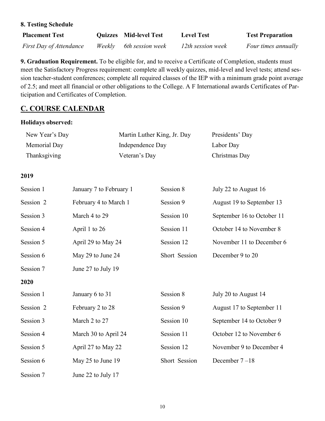| $\frac{1}{2}$           |                               |                   |                         |
|-------------------------|-------------------------------|-------------------|-------------------------|
| <b>Placement Test</b>   | <b>Quizzes</b> Mid-level Test | <b>Level Test</b> | <b>Test Preparation</b> |
| First Day of Attendance | Weekly 6th session week       | 12th session week | Four times annually     |

**9. Graduation Requirement.** To be eligible for, and to receive a Certificate of Completion, students must meet the Satisfactory Progress requirement: complete all weekly quizzes, mid-level and level tests; attend session teacher-student conferences; complete all required classes of the IEP with a minimum grade point average of 2.5; and meet all financial or other obligations to the College. A F International awards Certificates of Participation and Certificates of Completion.

## **C. COURSE CALENDAR**

## **Holidays observed:**

**8. Testing Schedule**

| New Year's Day | Martin Luther King, Jr. Day | Presidents' Day |
|----------------|-----------------------------|-----------------|
| Memorial Day   | Independence Day            | Labor Day       |
| Thanksgiving   | Veteran's Day               | Christmas Day   |

## **2019**

| Session 1 | January 7 to February 1 | Session 8     | July 22 to August 16       |
|-----------|-------------------------|---------------|----------------------------|
| Session 2 | February 4 to March 1   | Session 9     | August 19 to September 13  |
| Session 3 | March 4 to 29           | Session 10    | September 16 to October 11 |
| Session 4 | April 1 to 26           | Session 11    | October 14 to November 8   |
| Session 5 | April 29 to May 24      | Session 12    | November 11 to December 6  |
| Session 6 | May 29 to June 24       | Short Session | December 9 to 20           |
| Session 7 | June 27 to July 19      |               |                            |
| 2020      |                         |               |                            |
| Session 1 | January 6 to 31         | Session 8     | July 20 to August 14       |
| Session 2 | February 2 to 28        | Session 9     | August 17 to September 11  |
| Session 3 | March 2 to 27           | Session 10    | September 14 to October 9  |
| Session 4 | March 30 to April 24    | Session 11    | October 12 to November 6   |
| Session 5 | April 27 to May 22      | Session 12    | November 9 to December 4   |
| Session 6 | May 25 to June 19       | Short Session | December $7-18$            |
| Session 7 | June 22 to July 17      |               |                            |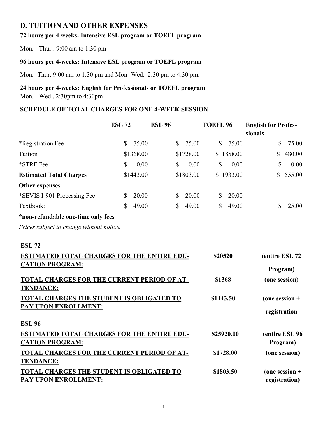## **D. TUITION AND OTHER EXPENSES**

## **72 hours per 4 weeks: Intensive ESL program or TOEFL program**

Mon. - Thur.: 9:00 am to 1:30 pm

## **96 hours per 4-weeks: Intensive ESL program or TOEFL program**

Mon. -Thur. 9:00 am to 1:30 pm and Mon -Wed. 2:30 pm to 4:30 pm.

## **24 hours per 4-weeks: English for Professionals or TOEFL program**

Mon. - Wed., 2:30pm to 4:30pm

## **SCHEDULE OF TOTAL CHARGES FOR ONE 4-WEEK SESSION**

|                                                                                                                                                                                                                                                               | <b>ESL 72</b> | <b>ESL 96</b> |             | <b>TOEFL 96</b>                |            | <b>English for Profes-</b><br>sionals                                           |                                   |
|---------------------------------------------------------------------------------------------------------------------------------------------------------------------------------------------------------------------------------------------------------------|---------------|---------------|-------------|--------------------------------|------------|---------------------------------------------------------------------------------|-----------------------------------|
| *Registration Fee                                                                                                                                                                                                                                             | \$            | 75.00         | \$<br>75.00 | \$                             | 75.00      | \$                                                                              | 75.00                             |
| Tuition                                                                                                                                                                                                                                                       | \$1368.00     |               | \$1728.00   |                                | \$1858.00  | $\mathbb{S}$                                                                    | 480.00                            |
| *STRF Fee                                                                                                                                                                                                                                                     | \$            | 0.00          | \$<br>0.00  | \$                             | 0.00       | \$                                                                              | 0.00                              |
| <b>Estimated Total Charges</b>                                                                                                                                                                                                                                | \$1443.00     |               | \$1803.00   |                                | \$1933.00  | \$                                                                              | 555.00                            |
| <b>Other expenses</b>                                                                                                                                                                                                                                         |               |               |             |                                |            |                                                                                 |                                   |
| *SEVIS I-901 Processing Fee                                                                                                                                                                                                                                   | \$            | 20.00         | \$<br>20.00 | $\mathbb{S}$                   | 20.00      |                                                                                 |                                   |
| Textbook:                                                                                                                                                                                                                                                     | \$            | 49.00         | \$<br>49.00 | \$                             | 49.00      | \$                                                                              | 25.00                             |
| *non-refundable one-time only fees                                                                                                                                                                                                                            |               |               |             |                                |            |                                                                                 |                                   |
| Prices subject to change without notice.                                                                                                                                                                                                                      |               |               |             |                                |            |                                                                                 |                                   |
| <b>ESL 72</b><br><b>ESTIMATED TOTAL CHARGES FOR THE ENTIRE EDU-</b><br><b>CATION PROGRAM:</b><br><b>TOTAL CHARGES FOR THE CURRENT PERIOD OF AT-</b><br><b>TENDANCE:</b><br>TOTAL CHARGES THE STUDENT IS OBLIGATED TO<br>PAY UPON ENROLLMENT:<br><b>ESL 96</b> |               |               |             | \$20520<br>\$1368<br>\$1443.50 |            | (entire ESL 72<br>Program)<br>(one session)<br>(one session $+$<br>registration |                                   |
| <b>ESTIMATED TOTAL CHARGES FOR THE ENTIRE EDU-</b><br><b>CATION PROGRAM:</b>                                                                                                                                                                                  |               |               |             |                                | \$25920.00 |                                                                                 | (entire ESL 96<br>Program)        |
| TOTAL CHARGES FOR THE CURRENT PERIOD OF AT-<br><b>TENDANCE:</b>                                                                                                                                                                                               |               |               |             |                                | \$1728.00  |                                                                                 | (one session)                     |
| <b>TOTAL CHARGES THE STUDENT IS OBLIGATED TO</b><br>PAY UPON ENROLLMENT:                                                                                                                                                                                      |               |               |             |                                | \$1803.50  |                                                                                 | (one session $+$<br>registration) |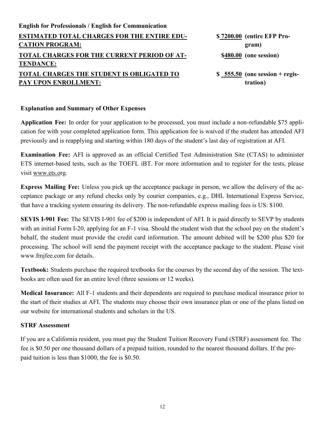| <b>English for Professionals / English for Communication</b> |                                  |
|--------------------------------------------------------------|----------------------------------|
| <b>ESTIMATED TOTAL CHARGES FOR THE ENTIRE EDU-</b>           | \$7200.00 (entire EFP Pro-       |
| <b>CATION PROGRAM:</b>                                       | gram)                            |
| TOTAL CHARGES FOR THE CURRENT PERIOD OF AT-                  | \$480.00 (one session)           |
| <b>TENDANCE:</b>                                             |                                  |
| TOTAL CHARGES THE STUDENT IS OBLIGATED TO                    | $$ 555.50$ (one session + regis- |
| PAY UPON ENROLLMENT:                                         | tration)                         |
|                                                              |                                  |

#### **Explanation and Summary of Other Expenses**

**Application Fee:** In order for your application to be processed, you must include a non-refundable \$75 application fee with your completed application form. This application fee is waived if the student has attended AFI previously and is reapplying and starting within 180 days of the student's last day of registration at AFI.

**Examination Fee:** AFI is approved as an official Certified Test Administration Site (CTAS) to administer ETS internet-based tests, such as the TOEFL iBT. For more information and to register for the tests, please visit www.ets.org.

**Express Mailing Fee:** Unless you pick up the acceptance package in person, we allow the delivery of the acceptance package or any refund checks only by courier companies, e.g., DHL International Express Service, that have a tracking system ensuring its delivery. The non-refundable express mailing fees is US: \$100.

**SEVIS I-901 Fee:** The SEVIS I-901 fee of \$200 is independent of AFI. It is paid directly to SEVP by students with an initial Form I-20, applying for an F-1 visa. Should the student wish that the school pay on the student's behalf, the student must provide the credit card information. The amount debited will be \$200 plus \$20 for processing. The school will send the payment receipt with the acceptance package to the student. Please visit www.fmjfee.com for details.

**Textbook:** Students purchase the required textbooks for the courses by the second day of the session. The textbooks are often used for an entire level (three sessions or 12 weeks).

**Medical Insurance:** All F-1 students and their dependents are required to purchase medical insurance prior to the start of their studies at AFI. The students may choose their own insurance plan or one of the plans listed on our website for international students and scholars in the US.

#### **STRF Assessment**

If you are a California resident, you must pay the Student Tuition Recovery Fund (STRF) assessment fee. The fee is \$0.50 per one thousand dollars of a prepaid tuition, rounded to the nearest thousand dollars. If the prepaid tuition is less than \$1000, the fee is \$0.50.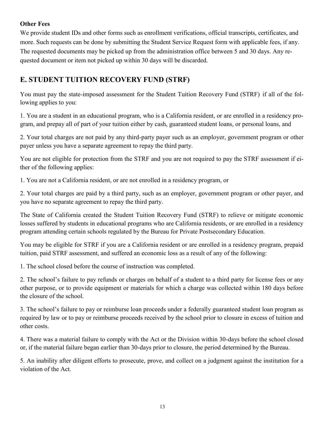## **Other Fees**

We provide student IDs and other forms such as enrollment verifications, official transcripts, certificates, and more. Such requests can be done by submitting the Student Service Request form with applicable fees, if any. The requested documents may be picked up from the administration office between 5 and 30 days. Any requested document or item not picked up within 30 days will be discarded.

## **E. STUDENT TUITION RECOVERY FUND (STRF)**

You must pay the state-imposed assessment for the Student Tuition Recovery Fund (STRF) if all of the following applies to you:

1. You are a student in an educational program, who is a California resident, or are enrolled in a residency program, and prepay all of part of your tuition either by cash, guaranteed student loans, or personal loans, and

2. Your total charges are not paid by any third-party payer such as an employer, government program or other payer unless you have a separate agreement to repay the third party.

You are not eligible for protection from the STRF and you are not required to pay the STRF assessment if either of the following applies:

1. You are not a California resident, or are not enrolled in a residency program, or

2. Your total charges are paid by a third party, such as an employer, government program or other payer, and you have no separate agreement to repay the third party.

The State of California created the Student Tuition Recovery Fund (STRF) to relieve or mitigate economic losses suffered by students in educational programs who are California residents, or are enrolled in a residency program attending certain schools regulated by the Bureau for Private Postsecondary Education.

You may be eligible for STRF if you are a California resident or are enrolled in a residency program, prepaid tuition, paid STRF assessment, and suffered an economic loss as a result of any of the following:

1. The school closed before the course of instruction was completed.

2. The school's failure to pay refunds or charges on behalf of a student to a third party for license fees or any other purpose, or to provide equipment or materials for which a charge was collected within 180 days before the closure of the school.

3. The school's failure to pay or reimburse loan proceeds under a federally guaranteed student loan program as required by law or to pay or reimburse proceeds received by the school prior to closure in excess of tuition and other costs.

4. There was a material failure to comply with the Act or the Division within 30-days before the school closed or, if the material failure began earlier than 30-days prior to closure, the period determined by the Bureau.

5. An inability after diligent efforts to prosecute, prove, and collect on a judgment against the institution for a violation of the Act.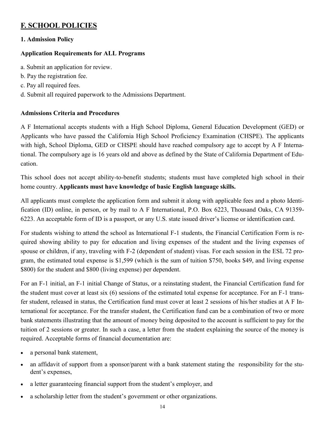## **F. SCHOOL POLICIES**

## **1. Admission Policy**

## **Application Requirements for ALL Programs**

- a. Submit an application for review.
- b. Pay the registration fee.
- c. Pay all required fees.
- d. Submit all required paperwork to the Admissions Department.

## **Admissions Criteria and Procedures**

A F International accepts students with a High School Diploma, General Education Development (GED) or Applicants who have passed the California High School Proficiency Examination (CHSPE). The applicants with high, School Diploma, GED or CHSPE should have reached compulsory age to accept by A F International. The compulsory age is 16 years old and above as defined by the State of California Department of Education.

This school does not accept ability-to-benefit students; students must have completed high school in their home country. **Applicants must have knowledge of basic English language skills.** 

All applicants must complete the application form and submit it along with applicable fees and a photo Identification (ID) online, in person, or by mail to A F International, P.O. Box 6223, Thousand Oaks, CA 91359- 6223. An acceptable form of ID is a passport, or any U.S. state issued driver's license or identification card.

For students wishing to attend the school as International F-1 students, the Financial Certification Form is required showing ability to pay for education and living expenses of the student and the living expenses of spouse or children, if any, traveling with F-2 (dependent of student) visas. For each session in the ESL 72 program, the estimated total expense is \$1,599 (which is the sum of tuition \$750, books \$49, and living expense \$800) for the student and \$800 (living expense) per dependent.

For an F-1 initial, an F-1 initial Change of Status, or a reinstating student, the Financial Certification fund for the student must cover at least six (6) sessions of the estimated total expense for acceptance. For an F-1 transfer student, released in status, the Certification fund must cover at least 2 sessions of his/her studies at A F International for acceptance. For the transfer student, the Certification fund can be a combination of two or more bank statements illustrating that the amount of money being deposited to the account is sufficient to pay for the tuition of 2 sessions or greater. In such a case, a letter from the student explaining the source of the money is required. Acceptable forms of financial documentation are:

- a personal bank statement,
- an affidavit of support from a sponsor/parent with a bank statement stating the responsibility for the student's expenses,
- a letter guaranteeing financial support from the student's employer, and
- a scholarship letter from the student's government or other organizations.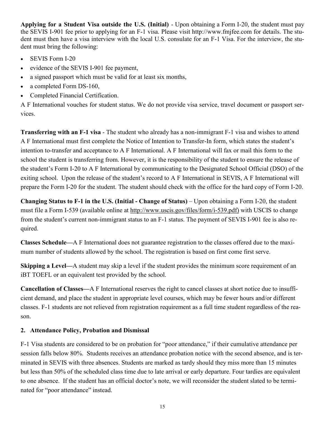**Applying for a Student Visa outside the U.S. (Initial)** - Upon obtaining a Form I-20, the student must pay the SEVIS I-901 fee prior to applying for an F-1 visa. Please visit http://www.fmjfee.com for details. The student must then have a visa interview with the local U.S. consulate for an F-1 Visa. For the interview, the student must bring the following:

- SEVIS Form I-20
- evidence of the SEVIS I-901 fee payment,
- a signed passport which must be valid for at least six months,
- a completed Form DS-160,
- Completed Financial Certification.

A F International vouches for student status. We do not provide visa service, travel document or passport services.

**Transferring with an F-1 visa** - The student who already has a non-immigrant F-1 visa and wishes to attend A F International must first complete the Notice of Intention to Transfer-In form, which states the student's intention to-transfer and acceptance to A F International. A F International will fax or mail this form to the school the student is transferring from. However, it is the responsibility of the student to ensure the release of the student's Form I-20 to A F International by communicating to the Designated School Official (DSO) of the exiting school. Upon the release of the student's record to A F International in SEVIS, A F International will prepare the Form I-20 for the student. The student should check with the office for the hard copy of Form I-20.

**Changing Status to F-1 in the U.S. (Initial - Change of Status)** – Upon obtaining a Form I-20, the student must file a Form I-539 (available online at http://www.uscis.gov/files/form/i-539.pdf) with USCIS to change from the student's current non-immigrant status to an F-1 status. The payment of SEVIS I-901 fee is also required.

**Classes Schedule—**A F International does not guarantee registration to the classes offered due to the maximum number of students allowed by the school. The registration is based on first come first serve.

**Skipping a Level—**A student may skip a level if the student provides the minimum score requirement of an iBT TOEFL or an equivalent test provided by the school.

**Cancellation of Classes—**A F International reserves the right to cancel classes at short notice due to insufficient demand, and place the student in appropriate level courses, which may be fewer hours and/or different classes. F-1 students are not relieved from registration requirement as a full time student regardless of the reason.

## **2. Attendance Policy, Probation and Dismissal**

F-1 Visa students are considered to be on probation for "poor attendance," if their cumulative attendance per session falls below 80%. Students receives an attendance probation notice with the second absence, and is terminated in SEVIS with three absences. Students are marked as tardy should they miss more than 15 minutes but less than 50% of the scheduled class time due to late arrival or early departure. Four tardies are equivalent to one absence. If the student has an official doctor's note, we will reconsider the student slated to be terminated for "poor attendance" instead.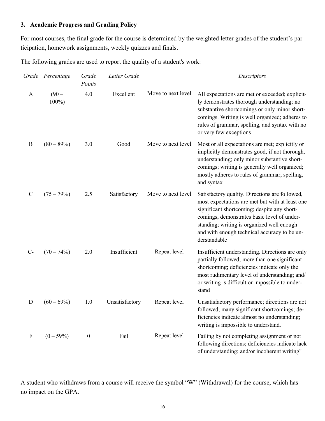## **3. Academic Progress and Grading Policy**

For most courses, the final grade for the course is determined by the weighted letter grades of the student's participation, homework assignments, weekly quizzes and finals.

The following grades are used to report the quality of a student's work:

|               | Grade Percentage   | Grade<br>Points  | Letter Grade   |                    | Descriptors                                                                                                                                                                                                                                                                                                   |
|---------------|--------------------|------------------|----------------|--------------------|---------------------------------------------------------------------------------------------------------------------------------------------------------------------------------------------------------------------------------------------------------------------------------------------------------------|
| $\mathbf{A}$  | $(90 -$<br>$100\%$ | 4.0              | Excellent      | Move to next level | All expectations are met or exceeded; explicit-<br>ly demonstrates thorough understanding; no<br>substantive shortcomings or only minor short-<br>comings. Writing is well organized; adheres to<br>rules of grammar, spelling, and syntax with no<br>or very few exceptions                                  |
| B             | $(80 - 89\%)$      | 3.0              | Good           | Move to next level | Most or all expectations are met; explicitly or<br>implicitly demonstrates good, if not thorough,<br>understanding; only minor substantive short-<br>comings; writing is generally well organized;<br>mostly adheres to rules of grammar, spelling,<br>and syntax                                             |
| $\mathcal{C}$ | $(75 - 79%)$       | 2.5              | Satisfactory   | Move to next level | Satisfactory quality. Directions are followed,<br>most expectations are met but with at least one<br>significant shortcoming; despite any short-<br>comings, demonstrates basic level of under-<br>standing; writing is organized well enough<br>and with enough technical accuracy to be un-<br>derstandable |
| $C-$          | $(70 - 74\%)$      | 2.0              | Insufficient   | Repeat level       | Insufficient understanding. Directions are only<br>partially followed; more than one significant<br>shortcoming; deficiencies indicate only the<br>most rudimentary level of understanding; and/<br>or writing is difficult or impossible to under-<br>stand                                                  |
| D             | $(60 - 69\%)$      | 1.0              | Unsatisfactory | Repeat level       | Unsatisfactory performance; directions are not<br>followed; many significant shortcomings; de-<br>ficiencies indicate almost no understanding;<br>writing is impossible to understand.                                                                                                                        |
| F             | $(0-59%)$          | $\boldsymbol{0}$ | Fail           | Repeat level       | Failing by not completing assignment or not<br>following directions; deficiencies indicate lack<br>of understanding; and/or incoherent writing"                                                                                                                                                               |

A student who withdraws from a course will receive the symbol "W" (Withdrawal) for the course, which has no impact on the GPA.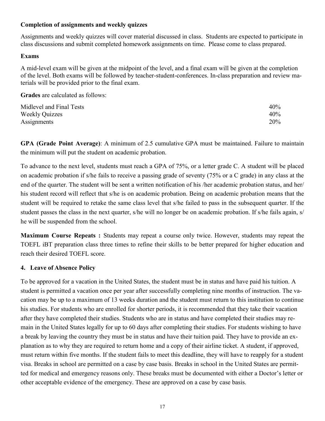## **Completion of assignments and weekly quizzes**

Assignments and weekly quizzes will cover material discussed in class. Students are expected to participate in class discussions and submit completed homework assignments on time. Please come to class prepared.

## **Exams**

A mid-level exam will be given at the midpoint of the level, and a final exam will be given at the completion of the level. Both exams will be followed by teacher-student-conferences. In-class preparation and review materials will be provided prior to the final exam.

**Grades** are calculated as follows:

| Midlevel and Final Tests | 40% |
|--------------------------|-----|
| <b>Weekly Quizzes</b>    | 40% |
| Assignments              | 20% |

**GPA (Grade Point Average)**: A minimum of 2.5 cumulative GPA must be maintained. Failure to maintain the minimum will put the student on academic probation.

To advance to the next level, students must reach a GPA of 75%, or a letter grade C. A student will be placed on academic probation if s/he fails to receive a passing grade of seventy (75% or a C grade) in any class at the end of the quarter. The student will be sent a written notification of his /her academic probation status, and her/ his student record will reflect that s/he is on academic probation. Being on academic probation means that the student will be required to retake the same class level that s/he failed to pass in the subsequent quarter. If the student passes the class in the next quarter, s/he will no longer be on academic probation. If s/he fails again, s/ he will be suspended from the school.

**Maximum Course Repeats :** Students may repeat a course only twice. However, students may repeat the TOEFL iBT preparation class three times to refine their skills to be better prepared for higher education and reach their desired TOEFL score.

## **4. Leave of Absence Policy**

To be approved for a vacation in the United States, the student must be in status and have paid his tuition. A student is permitted a vacation once per year after successfully completing nine months of instruction. The vacation may be up to a maximum of 13 weeks duration and the student must return to this institution to continue his studies. For students who are enrolled for shorter periods, it is recommended that they take their vacation after they have completed their studies. Students who are in status and have completed their studies may remain in the United States legally for up to 60 days after completing their studies. For students wishing to have a break by leaving the country they must be in status and have their tuition paid. They have to provide an explanation as to why they are required to return home and a copy of their airline ticket. A student, if approved, must return within five months. If the student fails to meet this deadline, they will have to reapply for a student visa. Breaks in school are permitted on a case by case basis. Breaks in school in the United States are permitted for medical and emergency reasons only. These breaks must be documented with either a Doctor's letter or other acceptable evidence of the emergency. These are approved on a case by case basis.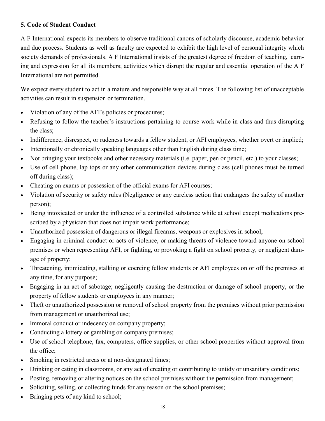## **5. Code of Student Conduct**

A F International expects its members to observe traditional canons of scholarly discourse, academic behavior and due process. Students as well as faculty are expected to exhibit the high level of personal integrity which society demands of professionals. A F International insists of the greatest degree of freedom of teaching, learning and expression for all its members; activities which disrupt the regular and essential operation of the A F International are not permitted.

We expect every student to act in a mature and responsible way at all times. The following list of unacceptable activities can result in suspension or termination.

- Violation of any of the AFI's policies or procedures;
- Refusing to follow the teacher's instructions pertaining to course work while in class and thus disrupting the class;
- Indifference, disrespect, or rudeness towards a fellow student, or AFI employees, whether overt or implied;
- Intentionally or chronically speaking languages other than English during class time;
- Not bringing your textbooks and other necessary materials (i.e. paper, pen or pencil, etc.) to your classes;
- Use of cell phone, lap tops or any other communication devices during class (cell phones must be turned off during class);
- Cheating on exams or possession of the official exams for AFI courses;
- Violation of security or safety rules (Negligence or any careless action that endangers the safety of another person);
- Being intoxicated or under the influence of a controlled substance while at school except medications prescribed by a physician that does not impair work performance;
- Unauthorized possession of dangerous or illegal firearms, weapons or explosives in school;
- Engaging in criminal conduct or acts of violence, or making threats of violence toward anyone on school premises or when representing AFI, or fighting, or provoking a fight on school property, or negligent damage of property;
- Threatening, intimidating, stalking or coercing fellow students or AFI employees on or off the premises at any time, for any purpose;
- Engaging in an act of sabotage; negligently causing the destruction or damage of school property, or the property of fellow students or employees in any manner;
- Theft or unauthorized possession or removal of school property from the premises without prior permission from management or unauthorized use;
- Immoral conduct or indecency on company property;
- Conducting a lottery or gambling on company premises;
- Use of school telephone, fax, computers, office supplies, or other school properties without approval from the office;
- Smoking in restricted areas or at non-designated times;
- Drinking or eating in classrooms, or any act of creating or contributing to untidy or unsanitary conditions;
- Posting, removing or altering notices on the school premises without the permission from management;
- Soliciting, selling, or collecting funds for any reason on the school premises;
- Bringing pets of any kind to school;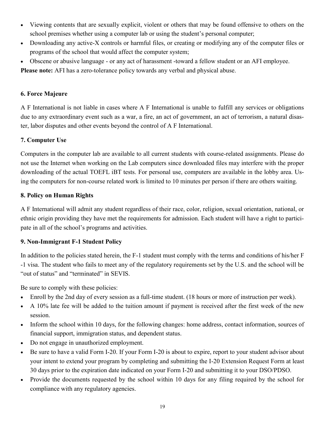- Viewing contents that are sexually explicit, violent or others that may be found offensive to others on the school premises whether using a computer lab or using the student's personal computer;
- Downloading any active-X controls or harmful files, or creating or modifying any of the computer files or programs of the school that would affect the computer system;
- Obscene or abusive language or any act of harassment -toward a fellow student or an AFI employee.

**Please note:** AFI has a zero-tolerance policy towards any verbal and physical abuse.

## **6. Force Majeure**

A F International is not liable in cases where A F International is unable to fulfill any services or obligations due to any extraordinary event such as a war, a fire, an act of government, an act of terrorism, a natural disaster, labor disputes and other events beyond the control of A F International.

## **7. Computer Use**

Computers in the computer lab are available to all current students with course-related assignments. Please do not use the Internet when working on the Lab computers since downloaded files may interfere with the proper downloading of the actual TOEFL iBT tests. For personal use, computers are available in the lobby area. Using the computers for non-course related work is limited to 10 minutes per person if there are others waiting.

## **8. Policy on Human Rights**

A F International will admit any student regardless of their race, color, religion, sexual orientation, national, or ethnic origin providing they have met the requirements for admission. Each student will have a right to participate in all of the school's programs and activities.

## **9. Non-Immigrant F-1 Student Policy**

In addition to the policies stated herein, the F-1 student must comply with the terms and conditions of his/her F -1 visa. The student who fails to meet any of the regulatory requirements set by the U.S. and the school will be "out of status" and "terminated" in SEVIS.

Be sure to comply with these policies:

- Enroll by the 2nd day of every session as a full-time student. (18 hours or more of instruction per week).
- A 10% late fee will be added to the tuition amount if payment is received after the first week of the new session.
- Inform the school within 10 days, for the following changes: home address, contact information, sources of financial support, immigration status, and dependent status.
- Do not engage in unauthorized employment.
- Be sure to have a valid Form I-20. If your Form I-20 is about to expire, report to your student advisor about your intent to extend your program by completing and submitting the I-20 Extension Request Form at least 30 days prior to the expiration date indicated on your Form I-20 and submitting it to your DSO/PDSO.
- Provide the documents requested by the school within 10 days for any filing required by the school for compliance with any regulatory agencies.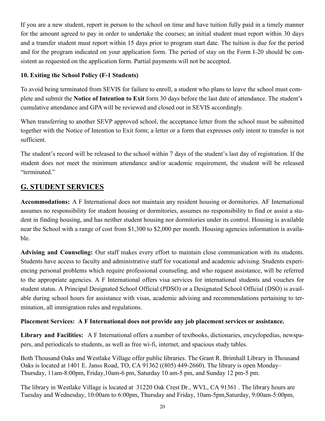If you are a new student, report in person to the school on time and have tuition fully paid in a timely manner for the amount agreed to pay in order to undertake the courses; an initial student must report within 30 days and a transfer student must report within 15 days prior to program start date. The tuition is due for the period and for the program indicated on your application form. The period of stay on the Form I-20 should be consistent as requested on the application form. Partial payments will not be accepted.

## **10. Exiting the School Policy (F-1 Students)**

To avoid being terminated from SEVIS for failure to enroll, a student who plans to leave the school must complete and submit the **Notice of Intention to Exit** form 30 days before the last date of attendance. The student's cumulative attendance and GPA will be reviewed and closed out in SEVIS accordingly.

When transferring to another SEVP approved school, the acceptance letter from the school must be submitted together with the Notice of Intention to Exit form; a letter or a form that expresses only intent to transfer is not sufficient.

The student's record will be released to the school within 7 days of the student's last day of registration. If the student does not meet the minimum attendance and/or academic requirement, the student will be released "terminated."

## **G. STUDENT SERVICES**

**Accommodations:** A F International does not maintain any resident housing or dormitories. AF International assumes no responsibility for student housing or dormitories, assumes no responsibility to find or assist a student in finding housing, and has neither student housing nor dormitories under its control. Housing is available near the School with a range of cost from \$1,300 to \$2,000 per month. Housing agencies information is available.

**Advising and Counseling:** Our staff makes every effort to maintain close communication with its students. Students have access to faculty and administrative staff for vocational and academic advising. Students experiencing personal problems which require professional counseling, and who request assistance, will be referred to the appropriate agencies. A F International offers visa services for international students and vouches for student status. A Principal Designated School Official (PDSO) or a Designated School Official (DSO) is available during school hours for assistance with visas, academic advising and recommendations pertaining to termination, all immigration rules and regulations.

## **Placement Services: A F International does not provide any job placement services or assistance.**

**Library and Facilities:** A F International offers a number of textbooks, dictionaries, encyclopedias, newspapers, and periodicals to students, as well as free wi-fi, internet, and spacious study tables.

Both Thousand Oaks and Westlake Village offer public libraries. The Grant R. Brimhall Library in Thousand Oaks is located at 1401 E. Janss Road, TO, CA 91362 ((805) 449-2660). The library is open Monday– Thursday, 11am-8:00pm, Friday,10am-6 pm, Saturday 10 am-5 pm, and Sunday 12 pm-5 pm.

The library in Westlake Village is located at 31220 Oak Crest Dr., WVL, CA 91361 . The library hours are Tuesday and Wednesday, 10:00am to 6:00pm, Thursday and Friday, 10am-5pm,Saturday, 9:00am-5:00pm,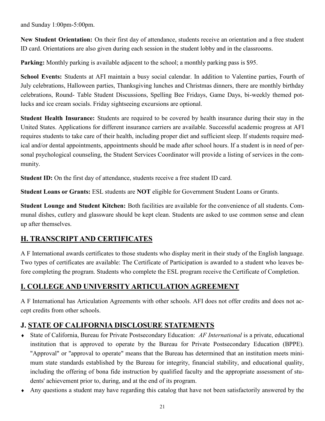and Sunday 1:00pm-5:00pm.

**New Student Orientation:** On their first day of attendance, students receive an orientation and a free student ID card. Orientations are also given during each session in the student lobby and in the classrooms.

**Parking:** Monthly parking is available adjacent to the school; a monthly parking pass is \$95.

**School Events:** Students at AFI maintain a busy social calendar. In addition to Valentine parties, Fourth of July celebrations, Halloween parties, Thanksgiving lunches and Christmas dinners, there are monthly birthday celebrations, Round- Table Student Discussions, Spelling Bee Fridays, Game Days, bi-weekly themed potlucks and ice cream socials. Friday sightseeing excursions are optional.

**Student Health Insurance:** Students are required to be covered by health insurance during their stay in the United States. Applications for different insurance carriers are available. Successful academic progress at AFI requires students to take care of their health, including proper diet and sufficient sleep. If students require medical and/or dental appointments, appointments should be made after school hours. If a student is in need of personal psychological counseling, the Student Services Coordinator will provide a listing of services in the community.

**Student ID:** On the first day of attendance, students receive a free student ID card.

**Student Loans or Grants:** ESL students are **NOT** eligible for Government Student Loans or Grants.

**Student Lounge and Student Kitchen:** Both facilities are available for the convenience of all students. Communal dishes, cutlery and glassware should be kept clean. Students are asked to use common sense and clean up after themselves.

## **H. TRANSCRIPT AND CERTIFICATES**

A F International awards certificates to those students who display merit in their study of the English language. Two types of certificates are available: The Certificate of Participation is awarded to a student who leaves before completing the program. Students who complete the ESL program receive the Certificate of Completion.

## **I. COLLEGE AND UNIVERSITY ARTICULATION AGREEMENT**

A F International has Articulation Agreements with other schools. AFI does not offer credits and does not accept credits from other schools.

## **J. STATE OF CALIFORNIA DISCLOSURE STATEMENTS**

- State of California, Bureau for Private Postsecondary Education: *AF International* is a private, educational institution that is approved to operate by the Bureau for Private Postsecondary Education (BPPE). "Approval" or "approval to operate" means that the Bureau has determined that an institution meets minimum state standards established by the Bureau for integrity, financial stability, and educational quality, including the offering of bona fide instruction by qualified faculty and the appropriate assessment of students' achievement prior to, during, and at the end of its program.
- Any questions a student may have regarding this catalog that have not been satisfactorily answered by the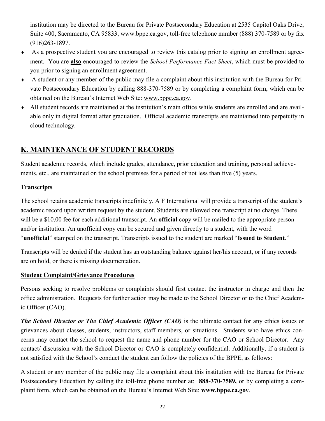institution may be directed to the Bureau for Private Postsecondary Education at 2535 Capitol Oaks Drive, Suite 400, Sacramento, CA 95833, www.bppe.ca.gov, toll-free telephone number (888) 370-7589 or by fax (916)263-1897.

- As a prospective student you are encouraged to review this catalog prior to signing an enrollment agreement. You are **also** encouraged to review the *School Performance Fact Sheet*, which must be provided to you prior to signing an enrollment agreement.
- A student or any member of the public may file a complaint about this institution with the Bureau for Private Postsecondary Education by calling 888-370-7589 or by completing a complaint form, which can be obtained on the Bureau's Internet Web Site: www.bppe.ca.gov.
- All student records are maintained at the institution's main office while students are enrolled and are available only in digital format after graduation. Official academic transcripts are maintained into perpetuity in cloud technology.

## **K. MAINTENANCE OF STUDENT RECORDS**

Student academic records, which include grades, attendance, prior education and training, personal achievements, etc., are maintained on the school premises for a period of not less than five (5) years.

## **Transcripts**

The school retains academic transcripts indefinitely. A F International will provide a transcript of the student's academic record upon written request by the student. Students are allowed one transcript at no charge. There will be a \$10.00 fee for each additional transcript. An **official** copy will be mailed to the appropriate person and/or institution. An unofficial copy can be secured and given directly to a student, with the word "**unofficial**" stamped on the transcript. Transcripts issued to the student are marked "**Issued to Student**."

Transcripts will be denied if the student has an outstanding balance against her/his account, or if any records are on hold, or there is missing documentation.

## **Student Complaint/Grievance Procedures**

Persons seeking to resolve problems or complaints should first contact the instructor in charge and then the office administration. Requests for further action may be made to the School Director or to the Chief Academic Officer (CAO).

*The School Director or The Chief Academic Officer (CAO)* is the ultimate contact for any ethics issues or grievances about classes, students, instructors, staff members, or situations. Students who have ethics concerns may contact the school to request the name and phone number for the CAO or School Director. Any contact/ discussion with the School Director or CAO is completely confidential. Additionally, if a student is not satisfied with the School's conduct the student can follow the policies of the BPPE, as follows:

A student or any member of the public may file a complaint about this institution with the Bureau for Private Postsecondary Education by calling the toll-free phone number at: **888-370-7589,** or by completing a complaint form, which can be obtained on the Bureau's Internet Web Site: **www.bppe.ca.gov**.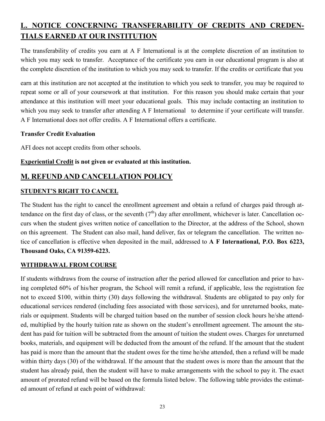## **L. NOTICE CONCERNING TRANSFERABILITY OF CREDITS AND CREDEN-TIALS EARNED AT OUR INSTITUTION**

The transferability of credits you earn at A F International is at the complete discretion of an institution to which you may seek to transfer. Acceptance of the certificate you earn in our educational program is also at the complete discretion of the institution to which you may seek to transfer. If the credits or certificate that you

earn at this institution are not accepted at the institution to which you seek to transfer, you may be required to repeat some or all of your coursework at that institution. For this reason you should make certain that your attendance at this institution will meet your educational goals. This may include contacting an institution to which you may seek to transfer after attending A F International to determine if your certificate will transfer. A F International does not offer credits. A F International offers a certificate.

## **Transfer Credit Evaluation**

AFI does not accept credits from other schools.

## **Experiential Credit is not given or evaluated at this institution.**

## **M. REFUND AND CANCELLATION POLICY**

## **STUDENT'S RIGHT TO CANCEL**

The Student has the right to cancel the enrollment agreement and obtain a refund of charges paid through attendance on the first day of class, or the seventh  $(7<sup>th</sup>)$  day after enrollment, whichever is later. Cancellation occurs when the student gives written notice of cancellation to the Director, at the address of the School, shown on this agreement. The Student can also mail, hand deliver, fax or telegram the cancellation. The written notice of cancellation is effective when deposited in the mail, addressed to **A F International, P.O. Box 6223, Thousand Oaks, CA 91359-6223.**

## **WITHDRAWAL FROM COURSE**

If students withdraws from the course of instruction after the period allowed for cancellation and prior to having completed 60% of his/her program, the School will remit a refund, if applicable, less the registration fee not to exceed \$100, within thirty (30) days following the withdrawal. Students are obligated to pay only for educational services rendered (including fees associated with those services), and for unreturned books, materials or equipment. Students will be charged tuition based on the number of session clock hours he/she attended, multiplied by the hourly tuition rate as shown on the student's enrollment agreement. The amount the student has paid for tuition will be subtracted from the amount of tuition the student owes. Charges for unreturned books, materials, and equipment will be deducted from the amount of the refund. If the amount that the student has paid is more than the amount that the student owes for the time he/she attended, then a refund will be made within thirty days (30) of the withdrawal. If the amount that the student owes is more than the amount that the student has already paid, then the student will have to make arrangements with the school to pay it. The exact amount of prorated refund will be based on the formula listed below. The following table provides the estimated amount of refund at each point of withdrawal: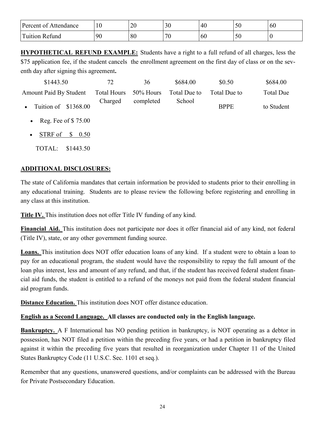| Percent of<br>Attendance       | 1 V | 20 | 3 <sup>0</sup> | 40 | $\sim$ $\sim$<br><b>JU</b>            | 6U |
|--------------------------------|-----|----|----------------|----|---------------------------------------|----|
| $\mathbf{r}$<br>Fuition Refund | 90  | 80 | 70             | 60 | $\overline{\phantom{a}}$<br><b>JU</b> | ν  |

**HYPOTHETICAL REFUND EXAMPLE:** Students have a right to a full refund of all charges, less the \$75 application fee, if the student cancels the enrollment agreement on the first day of class or on the seventh day after signing this agreement**.**

| \$1443.50                                 | 72                 | 36        | \$684.00     | \$0.50       | \$684.00         |
|-------------------------------------------|--------------------|-----------|--------------|--------------|------------------|
| Amount Paid By Student                    | <b>Total Hours</b> | 50% Hours | Total Due to | Total Due to | <b>Total Due</b> |
| Tuition of \$1368.00<br>$\bullet$         | Charged            | completed | School       | <b>BPPE</b>  | to Student       |
| Reg. Fee of $$75.00$<br>$\bullet$         |                    |           |              |              |                  |
| STRF of<br>$\frac{\$}{0.50}$<br>$\bullet$ |                    |           |              |              |                  |

TOTAL: \$1443.50

## **ADDITIONAL DISCLOSURES:**

The state of California mandates that certain information be provided to students prior to their enrolling in any educational training. Students are to please review the following before registering and enrolling in any class at this institution.

**Title IV.** This institution does not offer Title IV funding of any kind.

**Financial Aid.** This institution does not participate nor does it offer financial aid of any kind, not federal (Title IV), state, or any other government funding source.

**Loans.** This institution does NOT offer education loans of any kind. If a student were to obtain a loan to pay for an educational program, the student would have the responsibility to repay the full amount of the loan plus interest, less and amount of any refund, and that, if the student has received federal student financial aid funds, the student is entitled to a refund of the moneys not paid from the federal student financial aid program funds.

**Distance Education.** This institution does NOT offer distance education.

## **English as a Second Language. All classes are conducted only in the English language.**

**Bankruptcy.** A F International has NO pending petition in bankruptcy, is NOT operating as a debtor in possession, has NOT filed a petition within the preceding five years, or had a petition in bankruptcy filed against it within the preceding five years that resulted in reorganization under Chapter 11 of the United States Bankruptcy Code (11 U.S.C. Sec. 1101 et seq.).

Remember that any questions, unanswered questions, and/or complaints can be addressed with the Bureau for Private Postsecondary Education.